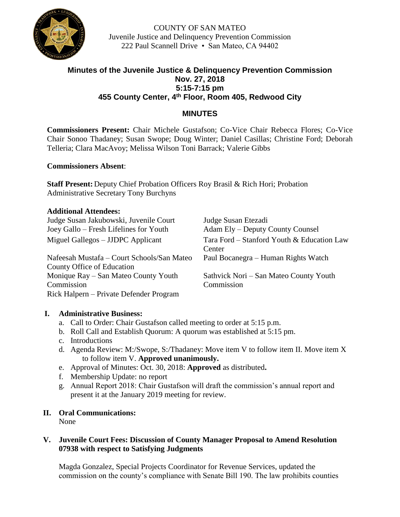

COUNTY OF SAN MATEO Juvenile Justice and Delinquency Prevention Commission 222 Paul Scannell Drive • San Mateo, CA 94402

# **Minutes of the Juvenile Justice & Delinquency Prevention Commission Nov. 27, 2018 5:15-7:15 pm 455 County Center, 4th Floor, Room 405, Redwood City**

# **MINUTES**

**Commissioners Present:** Chair Michele Gustafson; Co-Vice Chair Rebecca Flores; Co-Vice Chair Sonoo Thadaney; Susan Swope; Doug Winter; Daniel Casillas; Christine Ford; Deborah Telleria; Clara MacAvoy; Melissa Wilson Toni Barrack; Valerie Gibbs

### **Commissioners Absent**:

**Staff Present:** Deputy Chief Probation Officers Roy Brasil & Rich Hori; Probation Administrative Secretary Tony Burchyns

#### **Additional Attendees:**

Judge Susan Jakubowski, Juvenile Court Judge Susan Etezadi Joey Gallo – Fresh Lifelines for Youth Adam Ely – Deputy County Counsel

Nafeesah Mustafa – Court Schools/San Mateo County Office of Education Monique Ray – San Mateo County Youth Commission Rick Halpern – Private Defender Program

Miguel Gallegos – JJDPC Applicant Tara Ford – Stanford Youth & Education Law Center Paul Bocanegra – Human Rights Watch

Sathvick Nori – San Mateo County Youth **Commission** 

#### **I. Administrative Business:**

- a. Call to Order: Chair Gustafson called meeting to order at 5:15 p.m.
- b. Roll Call and Establish Quorum: A quorum was established at 5:15 pm.
- c. Introductions
- d. Agenda Review: M:/Swope, S:/Thadaney: Move item V to follow item II. Move item X to follow item V. **Approved unanimously.**
- e. Approval of Minutes: Oct. 30, 2018: **Approved** as distributed**.**
- f. Membership Update: no report
- g. Annual Report 2018: Chair Gustafson will draft the commission's annual report and present it at the January 2019 meeting for review.

# **II. Oral Communications:**

None

### **V. Juvenile Court Fees: Discussion of County Manager Proposal to Amend Resolution 07938 with respect to Satisfying Judgments**

Magda Gonzalez, Special Projects Coordinator for Revenue Services, updated the commission on the county's compliance with Senate Bill 190. The law prohibits counties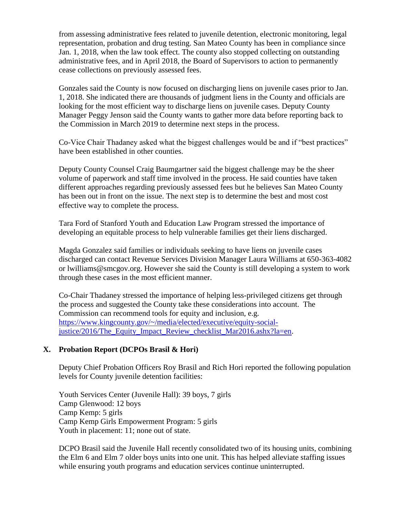from assessing administrative fees related to juvenile detention, electronic monitoring, legal representation, probation and drug testing. San Mateo County has been in compliance since Jan. 1, 2018, when the law took effect. The county also stopped collecting on outstanding administrative fees, and in April 2018, the Board of Supervisors to action to permanently cease collections on previously assessed fees.

Gonzales said the County is now focused on discharging liens on juvenile cases prior to Jan. 1, 2018. She indicated there are thousands of judgment liens in the County and officials are looking for the most efficient way to discharge liens on juvenile cases. Deputy County Manager Peggy Jenson said the County wants to gather more data before reporting back to the Commission in March 2019 to determine next steps in the process.

Co-Vice Chair Thadaney asked what the biggest challenges would be and if "best practices" have been established in other counties.

Deputy County Counsel Craig Baumgartner said the biggest challenge may be the sheer volume of paperwork and staff time involved in the process. He said counties have taken different approaches regarding previously assessed fees but he believes San Mateo County has been out in front on the issue. The next step is to determine the best and most cost effective way to complete the process.

Tara Ford of Stanford Youth and Education Law Program stressed the importance of developing an equitable process to help vulnerable families get their liens discharged.

Magda Gonzalez said families or individuals seeking to have liens on juvenile cases discharged can contact Revenue Services Division Manager Laura Williams at 650-363-4082 or lwilliams@smcgov.org. However she said the County is still developing a system to work through these cases in the most efficient manner.

Co-Chair Thadaney stressed the importance of helping less-privileged citizens get through the process and suggested the County take these considerations into account. The Commission can recommend tools for equity and inclusion, e.g. [https://www.kingcounty.gov/~/media/elected/executive/equity-social](https://protect-us.mimecast.com/s/HcgyCM8KJDczx9WGfklJZL)justice/2016/The Equity Impact Review checklist Mar2016.ashx?la=en.

# **X. Probation Report (DCPOs Brasil & Hori)**

Deputy Chief Probation Officers Roy Brasil and Rich Hori reported the following population levels for County juvenile detention facilities:

Youth Services Center (Juvenile Hall): 39 boys, 7 girls Camp Glenwood: 12 boys Camp Kemp: 5 girls Camp Kemp Girls Empowerment Program: 5 girls Youth in placement: 11; none out of state.

DCPO Brasil said the Juvenile Hall recently consolidated two of its housing units, combining the Elm 6 and Elm 7 older boys units into one unit. This has helped alleviate staffing issues while ensuring youth programs and education services continue uninterrupted.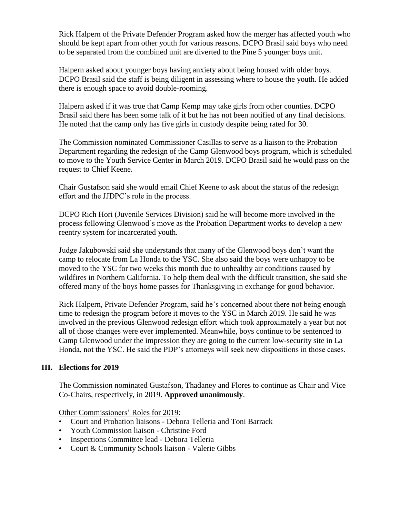Rick Halpern of the Private Defender Program asked how the merger has affected youth who should be kept apart from other youth for various reasons. DCPO Brasil said boys who need to be separated from the combined unit are diverted to the Pine 5 younger boys unit.

Halpern asked about younger boys having anxiety about being housed with older boys. DCPO Brasil said the staff is being diligent in assessing where to house the youth. He added there is enough space to avoid double-rooming.

Halpern asked if it was true that Camp Kemp may take girls from other counties. DCPO Brasil said there has been some talk of it but he has not been notified of any final decisions. He noted that the camp only has five girls in custody despite being rated for 30.

The Commission nominated Commissioner Casillas to serve as a liaison to the Probation Department regarding the redesign of the Camp Glenwood boys program, which is scheduled to move to the Youth Service Center in March 2019. DCPO Brasil said he would pass on the request to Chief Keene.

Chair Gustafson said she would email Chief Keene to ask about the status of the redesign effort and the JJDPC's role in the process.

DCPO Rich Hori (Juvenile Services Division) said he will become more involved in the process following Glenwood's move as the Probation Department works to develop a new reentry system for incarcerated youth.

Judge Jakubowski said she understands that many of the Glenwood boys don't want the camp to relocate from La Honda to the YSC. She also said the boys were unhappy to be moved to the YSC for two weeks this month due to unhealthy air conditions caused by wildfires in Northern California. To help them deal with the difficult transition, she said she offered many of the boys home passes for Thanksgiving in exchange for good behavior.

Rick Halpern, Private Defender Program, said he's concerned about there not being enough time to redesign the program before it moves to the YSC in March 2019. He said he was involved in the previous Glenwood redesign effort which took approximately a year but not all of those changes were ever implemented. Meanwhile, boys continue to be sentenced to Camp Glenwood under the impression they are going to the current low-security site in La Honda, not the YSC. He said the PDP's attorneys will seek new dispositions in those cases.

# **III. Elections for 2019**

The Commission nominated Gustafson, Thadaney and Flores to continue as Chair and Vice Co-Chairs, respectively, in 2019. **Approved unanimously**.

Other Commissioners' Roles for 2019:

- Court and Probation liaisons Debora Telleria and Toni Barrack
- Youth Commission liaison Christine Ford
- Inspections Committee lead Debora Telleria
- Court & Community Schools liaison Valerie Gibbs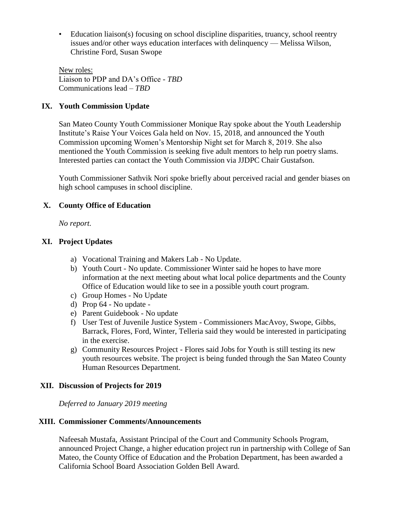• Education liaison(s) focusing on school discipline disparities, truancy, school reentry issues and/or other ways education interfaces with delinquency — Melissa Wilson, Christine Ford, Susan Swope

New roles: Liaison to PDP and DA's Office - *TBD* Communications lead – *TBD*

### **IX. Youth Commission Update**

San Mateo County Youth Commissioner Monique Ray spoke about the Youth Leadership Institute's Raise Your Voices Gala held on Nov. 15, 2018, and announced the Youth Commission upcoming Women's Mentorship Night set for March 8, 2019. She also mentioned the Youth Commission is seeking five adult mentors to help run poetry slams. Interested parties can contact the Youth Commission via JJDPC Chair Gustafson.

Youth Commissioner Sathvik Nori spoke briefly about perceived racial and gender biases on high school campuses in school discipline.

### **X. County Office of Education**

*No report.*

### **XI. Project Updates**

- a) Vocational Training and Makers Lab No Update.
- b) Youth Court No update. Commissioner Winter said he hopes to have more information at the next meeting about what local police departments and the County Office of Education would like to see in a possible youth court program.
- c) Group Homes No Update
- d) Prop 64 No update -
- e) Parent Guidebook No update
- f) User Test of Juvenile Justice System Commissioners MacAvoy, Swope, Gibbs, Barrack, Flores, Ford, Winter, Telleria said they would be interested in participating in the exercise.
- g) Community Resources Project Flores said Jobs for Youth is still testing its new youth resources website. The project is being funded through the San Mateo County Human Resources Department.

#### **XII. Discussion of Projects for 2019**

*Deferred to January 2019 meeting*

#### **XIII. Commissioner Comments/Announcements**

Nafeesah Mustafa, Assistant Principal of the Court and Community Schools Program, announced Project Change, a higher education project run in partnership with College of San Mateo, the County Office of Education and the Probation Department, has been awarded a California School Board Association Golden Bell Award.